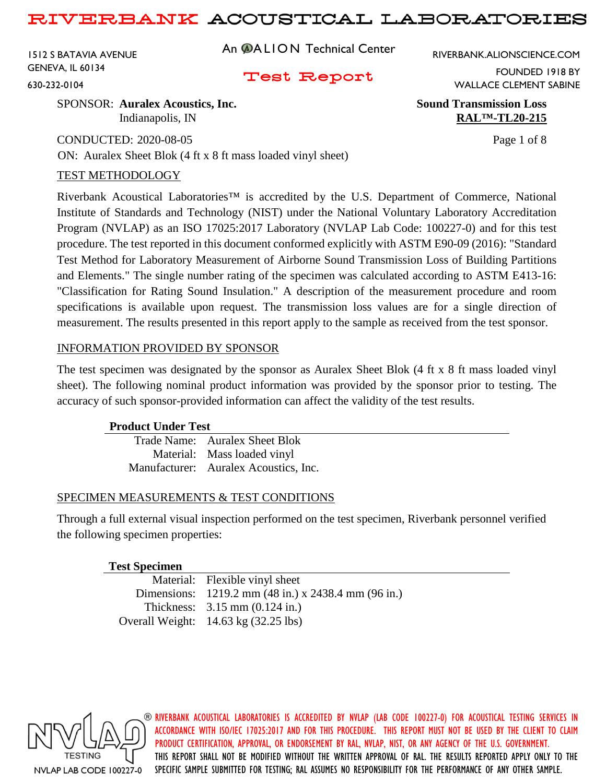1512 S BATAVIA AVENUE GENEVA, IL 60134

630-232-0104

## An @ALION Technical Center

RIVERBANK.ALIONSCIENCE.COM

## Test Report

WALLACE CLEMENT SABINE

SPONSOR: **Auralex Acoustics, Inc. Sound Transmission Loss**

CONDUCTED: 2020-08-05 Page 1 of 8 ON: Auralex Sheet Blok (4 ft x 8 ft mass loaded vinyl sheet)

## TEST METHODOLOGY

Riverbank Acoustical Laboratories™ is accredited by the U.S. Department of Commerce, National Institute of Standards and Technology (NIST) under the National Voluntary Laboratory Accreditation Program (NVLAP) as an ISO 17025:2017 Laboratory (NVLAP Lab Code: 100227-0) and for this test procedure. The test reported in this document conformed explicitly with ASTM E90-09 (2016): "Standard Test Method for Laboratory Measurement of Airborne Sound Transmission Loss of Building Partitions and Elements." The single number rating of the specimen was calculated according to ASTM E413-16: "Classification for Rating Sound Insulation." A description of the measurement procedure and room specifications is available upon request. The transmission loss values are for a single direction of measurement. The results presented in this report apply to the sample as received from the test sponsor.

## INFORMATION PROVIDED BY SPONSOR

The test specimen was designated by the sponsor as Auralex Sheet Blok (4 ft x 8 ft mass loaded vinyl sheet). The following nominal product information was provided by the sponsor prior to testing. The accuracy of such sponsor-provided information can affect the validity of the test results.

## **Product Under Test**

Trade Name: Auralex Sheet Blok Material: Mass loaded vinyl Manufacturer: Auralex Acoustics, Inc.

## SPECIMEN MEASUREMENTS & TEST CONDITIONS

Through a full external visual inspection performed on the test specimen, Riverbank personnel verified the following specimen properties:

## **Test Specimen**

| Material: Flexible vinyl sheet                      |
|-----------------------------------------------------|
| Dimensions: 1219.2 mm (48 in.) x 2438.4 mm (96 in.) |
| Thickness: $3.15 \text{ mm} (0.124 \text{ in.})$    |
| Overall Weight: $14.63 \text{ kg}$ (32.25 lbs)      |



**@ RIVERBANK ACOUSTICAL LABORATORIES IS ACCREDITED BY NVLAP (LAB CODE 100227-0) FOR ACOUSTICAL TESTING SERVICES IN** ACCORDANCE WITH ISO/IEC 17025:2017 AND FOR THIS PROCEDURE. THIS REPORT MUST NOT BE USED BY THE CLIENT TO CLAIM PRODUCT CERTIFICATION, APPROVAL, OR ENDORSEMENT BY RAL, NVLAP, NIST, OR ANY AGENCY OF THE U.S. GOVERNMENT. THIS REPORT SHALL NOT BE MODIFIED WITHOUT THE WRITTEN APPROVAL OF RAL. THE RESULTS REPORTED APPLY ONLY TO THE SPECIFIC SAMPLE SUBMITTED FOR TESTING; RAL ASSUMES NO RESPONSIBILITY FOR THE PERFORMANCE OF ANY OTHER SAMPLE.

Indianapolis, IN **RAL<sup>TM</sup>-TL20-215** 

FOUNDED 1918 BY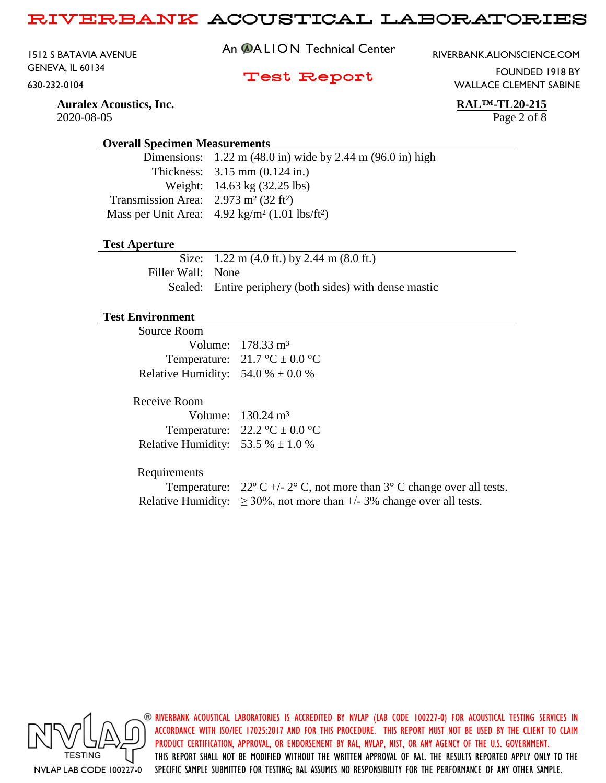1512 S BATAVIA AVENUE GENEVA, IL 60134

630-232-0104

An @ALION Technical Center

RIVERBANK.ALIONSCIENCE.COM

## Test Report

WALLACE CLEMENT SABINE

FOUNDED 1918 BY

**Auralex Acoustics, Inc. RAL™-TL20-215** 2020-08-05 Page 2 of 8

#### **Overall Specimen Measurements**

|                                                                 | Dimensions: $1.22 \text{ m} (48.0 \text{ in})$ wide by 2.44 m (96.0 in) high |
|-----------------------------------------------------------------|------------------------------------------------------------------------------|
|                                                                 | Thickness: $3.15 \text{ mm} (0.124 \text{ in.})$                             |
|                                                                 | Weight: $14.63 \text{ kg} (32.25 \text{ lbs})$                               |
| Transmission Area: $2.973$ m <sup>2</sup> (32 ft <sup>2</sup> ) |                                                                              |
|                                                                 | Mass per Unit Area: $4.92 \text{ kg/m}^2 (1.01 \text{ lbs/ft}^2)$            |
|                                                                 |                                                                              |

#### **Test Aperture**

Size: 1.22 m (4.0 ft.) by 2.44 m (8.0 ft.) Filler Wall: None Sealed: Entire periphery (both sides) with dense mastic

#### **Test Environment**

| Volume: $178.33 \text{ m}^3$                    |
|-------------------------------------------------|
| Temperature: $21.7 \degree C \pm 0.0 \degree C$ |
| Relative Humidity: $54.0\% \pm 0.0\%$           |
|                                                 |

#### Receive Room

|                                       | Volume: $130.24 \text{ m}^3$                      |
|---------------------------------------|---------------------------------------------------|
|                                       | Temperature: $22.2 \text{ °C} \pm 0.0 \text{ °C}$ |
| Relative Humidity: 53.5 % $\pm$ 1.0 % |                                                   |

## Requirements

| Temperature: $22^{\circ}$ C +/- 2° C, not more than 3° C change over all tests. |
|---------------------------------------------------------------------------------|
| Relative Humidity: $\geq 30\%$ , not more than +/- 3% change over all tests.    |

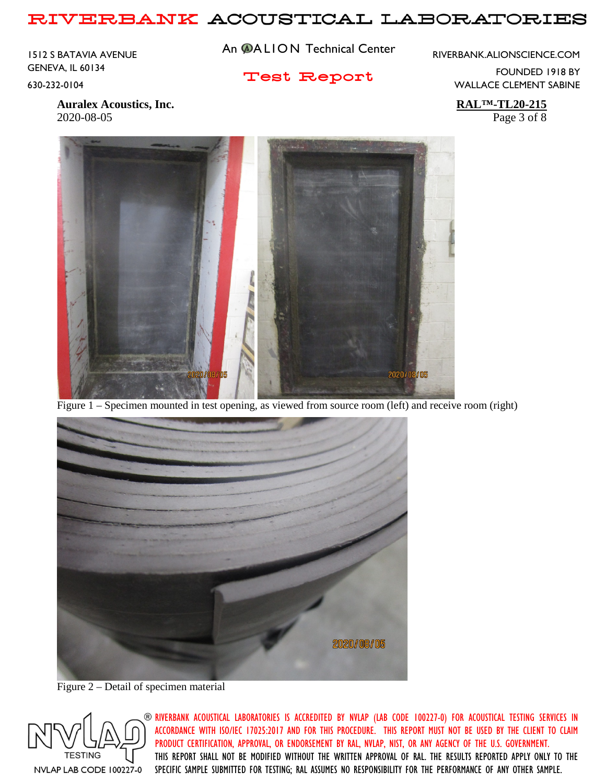1512 S BATAVIA AVENUE GENEVA, IL 60134

630-232-0104

An @ALION Technical Center

RIVERBANK.ALIONSCIENCE.COM

Test Report

FOUNDED 1918 BY WALLACE CLEMENT SABINE

**Auralex Acoustics, Inc. RAL™-TL20-215** 2020-08-05 Page 3 of 8



Figure 1 – Specimen mounted in test opening, as viewed from source room (left) and receive room (right)



Figure 2 – Detail of specimen material

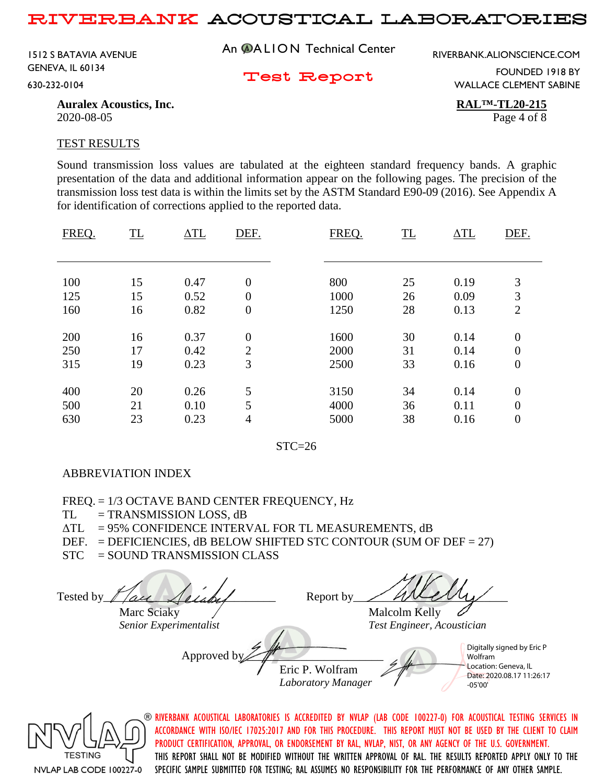An **@ALION** Technical Center RIVERBANK.ALIONSCIENCE.COM 1512 S BATAVIA AVENUE GENEVA, IL 60134

630-232-0104

Test Report

FOUNDED 1918 BY WALLACE CLEMENT SABINE

**Auralex Acoustics, Inc. RAL™-TL20-215** 2020-08-05 Page 4 of 8

#### TEST RESULTS

Sound transmission loss values are tabulated at the eighteen standard frequency bands. A graphic presentation of the data and additional information appear on the following pages. The precision of the transmission loss test data is within the limits set by the ASTM Standard E90-09 (2016). See Appendix A for identification of corrections applied to the reported data.

| FREQ. | TL | $\Delta T L$ | DEF.             | FREQ. | TL | $\Delta T L$ | DEF.             |
|-------|----|--------------|------------------|-------|----|--------------|------------------|
|       |    |              |                  |       |    |              |                  |
| 100   | 15 | 0.47         | $\overline{0}$   | 800   | 25 | 0.19         | 3                |
| 125   | 15 | 0.52         | $\overline{0}$   | 1000  | 26 | 0.09         | 3                |
| 160   | 16 | 0.82         | $\boldsymbol{0}$ | 1250  | 28 | 0.13         | $\overline{2}$   |
|       |    |              |                  |       |    |              |                  |
| 200   | 16 | 0.37         | $\overline{0}$   | 1600  | 30 | 0.14         | $\boldsymbol{0}$ |
| 250   | 17 | 0.42         | $\overline{2}$   | 2000  | 31 | 0.14         | $\overline{0}$   |
| 315   | 19 | 0.23         | 3                | 2500  | 33 | 0.16         | $\boldsymbol{0}$ |
|       |    |              |                  |       |    |              |                  |
| 400   | 20 | 0.26         | 5                | 3150  | 34 | 0.14         | $\overline{0}$   |
| 500   | 21 | 0.10         | 5                | 4000  | 36 | 0.11         | $\overline{0}$   |
| 630   | 23 | 0.23         | $\overline{4}$   | 5000  | 38 | 0.16         | $\boldsymbol{0}$ |
|       |    |              |                  |       |    |              |                  |

 $STC=26$ 

## ABBREVIATION INDEX

FREQ. = 1/3 OCTAVE BAND CENTER FREQUENCY, Hz

 $TL = TRANSMISSION LOSS, dB$ 

 $\Delta TL = 95\%$  CONFIDENCE INTERVAL FOR TL MEASUREMENTS, dB

DEF. = DEFICIENCIES,  $dB$  BELOW SHIFTED STC CONTOUR (SUM OF DEF = 27)

STC = SOUND TRANSMISSION CLASS

Tested by  $\int$  all  $\cal{A}$  elabel Report by  $\cal{A}$  even  $\cal{A}$ Marc Sciaky  $\overline{\phantom{a}}$  Malcolm Kelly *Senior Experimentalist Test Engineer, Acoustician* Approved b Eric P. Wolfram *Laboratory Manager* Digitally signed by Eric P Wolfram Location: Geneva, IL Date: 2020.08.17 11:26:17 -05'00'

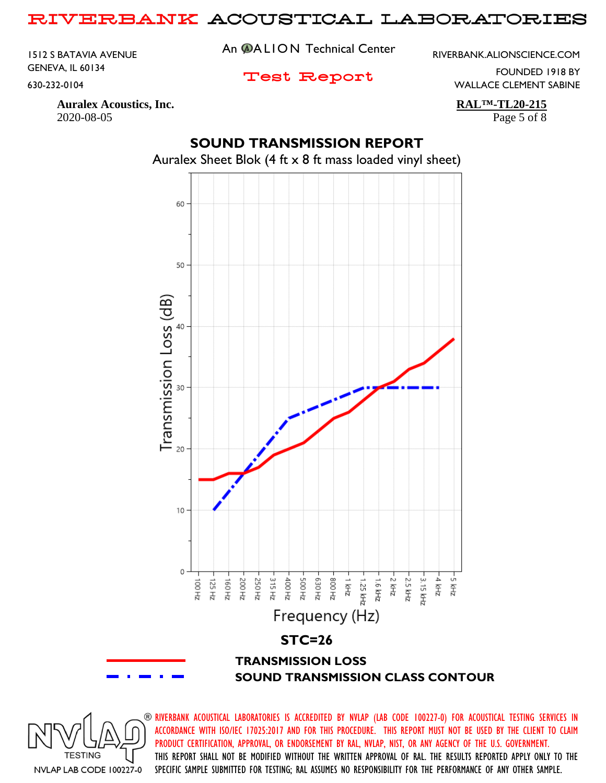1512 S BATAVIA AVENUE GENEVA, IL 60134

630-232-0104

An @ALION Technical Center

RIVERBANK.ALIONSCIENCE.COM

Test Report

FOUNDED 1918 BY WALLACE CLEMENT SABINE

**Auralex Acoustics, Inc. RAL™-TL20-215** 2020-08-05 Page 5 of 8

# **SOUND TRANSMISSION REPORT** Auralex Sheet Blok (4 ft x 8 ft mass loaded vinyl sheet)



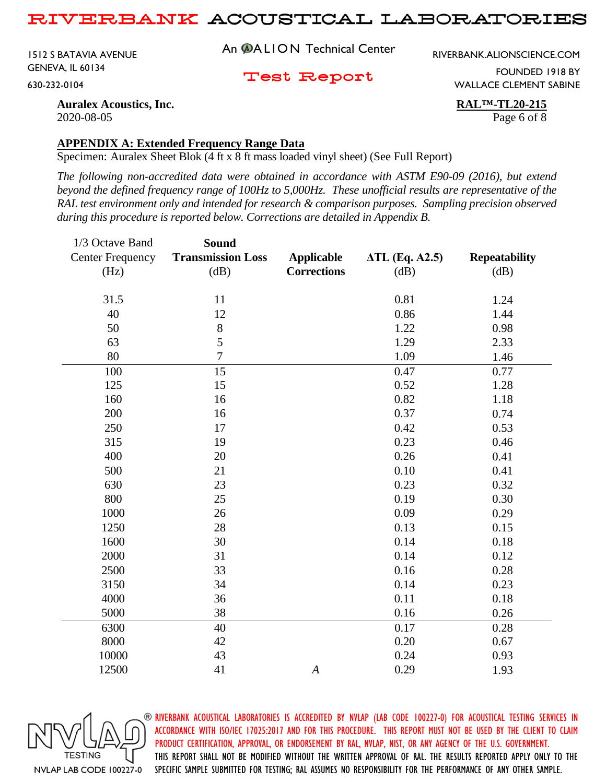1512 S BATAVIA AVENUE GENEVA, IL 60134

630-232-0104

An @ALION Technical Center

RIVERBANK.ALIONSCIENCE.COM

Test Report

FOUNDED 1918 BY WALLACE CLEMENT SABINE

**Auralex Acoustics, Inc. RAL™-TL20-215** 2020-08-05 Page 6 of 8

## **APPENDIX A: Extended Frequency Range Data**

Specimen: Auralex Sheet Blok (4 ft x 8 ft mass loaded vinyl sheet) (See Full Report)

*The following non-accredited data were obtained in accordance with ASTM E90-09 (2016), but extend beyond the defined frequency range of 100Hz to 5,000Hz. These unofficial results are representative of the RAL test environment only and intended for research & comparison purposes. Sampling precision observed during this procedure is reported below. Corrections are detailed in Appendix B.*

| 1/3 Octave Band         | <b>Sound</b>             |                    |                       |                      |
|-------------------------|--------------------------|--------------------|-----------------------|----------------------|
| <b>Center Frequency</b> | <b>Transmission Loss</b> | <b>Applicable</b>  | <b>ATL (Eq. A2.5)</b> | <b>Repeatability</b> |
| (Hz)                    | (dB)                     | <b>Corrections</b> | (dB)                  | (dB)                 |
|                         |                          |                    |                       |                      |
| 31.5                    | 11                       |                    | 0.81                  | 1.24                 |
| 40                      | 12                       |                    | 0.86                  | 1.44                 |
| 50                      | $8\,$                    |                    | 1.22                  | 0.98                 |
| 63                      | 5                        |                    | 1.29                  | 2.33                 |
| 80                      | $\boldsymbol{7}$         |                    | 1.09                  | 1.46                 |
| 100                     | 15                       |                    | 0.47                  | 0.77                 |
| 125                     | 15                       |                    | 0.52                  | 1.28                 |
| 160                     | 16                       |                    | 0.82                  | 1.18                 |
| 200                     | 16                       |                    | 0.37                  | 0.74                 |
| 250                     | 17                       |                    | 0.42                  | 0.53                 |
| 315                     | 19                       |                    | 0.23                  | 0.46                 |
| 400                     | 20                       |                    | 0.26                  | 0.41                 |
| 500                     | 21                       |                    | 0.10                  | 0.41                 |
| 630                     | 23                       |                    | 0.23                  | 0.32                 |
| 800                     | 25                       |                    | 0.19                  | 0.30                 |
| 1000                    | 26                       |                    | 0.09                  | 0.29                 |
| 1250                    | 28                       |                    | 0.13                  | 0.15                 |
| 1600                    | 30                       |                    | 0.14                  | 0.18                 |
| 2000                    | 31                       |                    | 0.14                  | 0.12                 |
| 2500                    | 33                       |                    | 0.16                  | 0.28                 |
| 3150                    | 34                       |                    | 0.14                  | 0.23                 |
| 4000                    | 36                       |                    | 0.11                  | 0.18                 |
| 5000                    | 38                       |                    | 0.16                  | 0.26                 |
| 6300                    | 40                       |                    | 0.17                  | 0.28                 |
| 8000                    | 42                       |                    | 0.20                  | 0.67                 |
| 10000                   | 43                       |                    | 0.24                  | 0.93                 |
| 12500                   | 41                       | $\boldsymbol{A}$   | 0.29                  | 1.93                 |

NVLAP LAB CODE 100227-0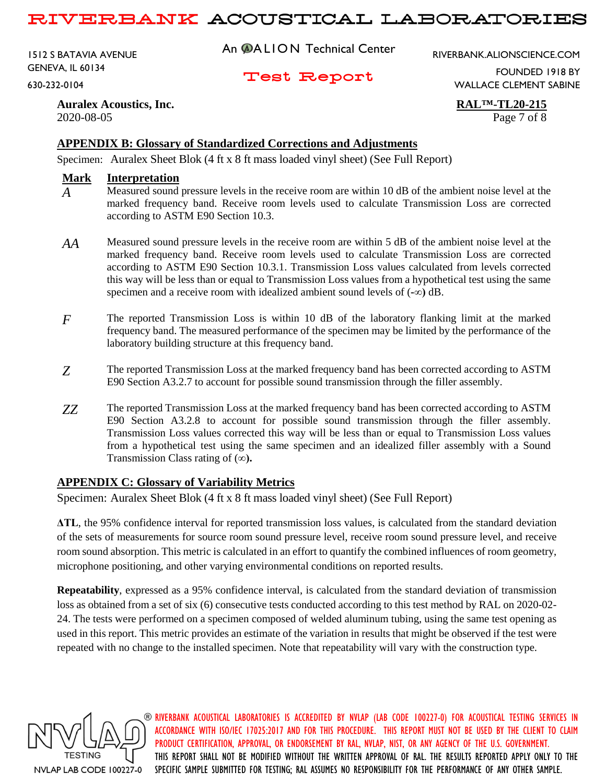1512 S BATAVIA AVENUE GENEVA, IL 60134

630-232-0104

An @ALION Technical Center

RIVERBANK.ALIONSCIENCE.COM

Test Report

FOUNDED 1918 BY WALLACE CLEMENT SABINE

**Auralex Acoustics, Inc. RAL™-TL20-215** 2020-08-05 Page 7 of 8

## **APPENDIX B: Glossary of Standardized Corrections and Adjustments**

Specimen: Auralex Sheet Blok (4 ft x 8 ft mass loaded vinyl sheet) (See Full Report)

#### **Mark Interpretation**

- $\overline{A}$  Measured sound pressure levels in the receive room are within 10 dB of the ambient noise level at the marked frequency band. Receive room levels used to calculate Transmission Loss are corrected according to ASTM E90 Section 10.3.
- *AA* Measured sound pressure levels in the receive room are within 5 dB of the ambient noise level at the marked frequency band. Receive room levels used to calculate Transmission Loss are corrected according to ASTM E90 Section 10.3.1. Transmission Loss values calculated from levels corrected this way will be less than or equal to Transmission Loss values from a hypothetical test using the same specimen and a receive room with idealized ambient sound levels of (**-∞)** dB.
- *F* The reported Transmission Loss is within 10 dB of the laboratory flanking limit at the marked frequency band. The measured performance of the specimen may be limited by the performance of the laboratory building structure at this frequency band.
- *Z* The reported Transmission Loss at the marked frequency band has been corrected according to ASTM E90 Section A3.2.7 to account for possible sound transmission through the filler assembly.
- *ZZ* The reported Transmission Loss at the marked frequency band has been corrected according to ASTM E90 Section A3.2.8 to account for possible sound transmission through the filler assembly. Transmission Loss values corrected this way will be less than or equal to Transmission Loss values from a hypothetical test using the same specimen and an idealized filler assembly with a Sound Transmission Class rating of (**∞).**

## **APPENDIX C: Glossary of Variability Metrics**

Specimen: Auralex Sheet Blok (4 ft x 8 ft mass loaded vinyl sheet) (See Full Report)

**ΔTL**, the 95% confidence interval for reported transmission loss values, is calculated from the standard deviation of the sets of measurements for source room sound pressure level, receive room sound pressure level, and receive room sound absorption. This metric is calculated in an effort to quantify the combined influences of room geometry, microphone positioning, and other varying environmental conditions on reported results.

**Repeatability**, expressed as a 95% confidence interval, is calculated from the standard deviation of transmission loss as obtained from a set of six (6) consecutive tests conducted according to this test method by RAL on 2020-02- 24. The tests were performed on a specimen composed of welded aluminum tubing, using the same test opening as used in this report. This metric provides an estimate of the variation in results that might be observed if the test were repeated with no change to the installed specimen. Note that repeatability will vary with the construction type.